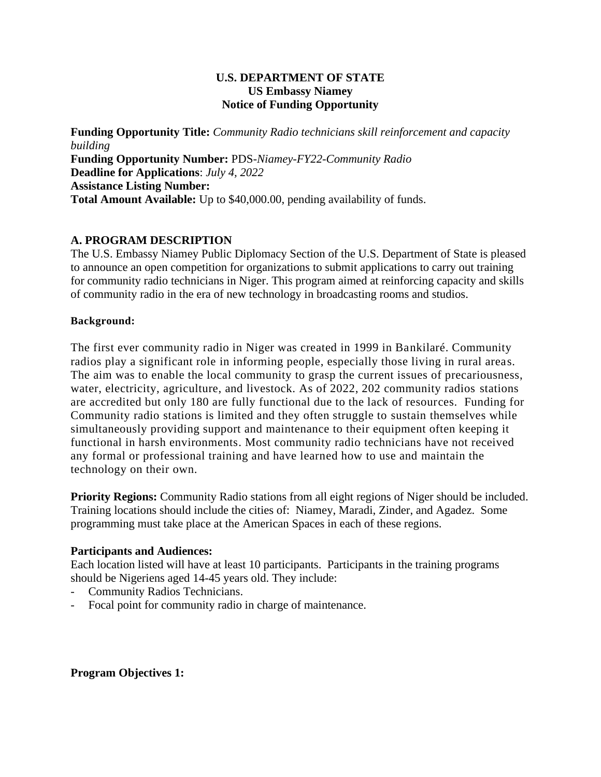### **U.S. DEPARTMENT OF STATE US Embassy Niamey Notice of Funding Opportunity**

**Funding Opportunity Title:** *Community Radio technicians skill reinforcement and capacity building* **Funding Opportunity Number:** PDS-*Niamey-FY22-Community Radio* **Deadline for Applications**: *July 4, 2022* **Assistance Listing Number: Total Amount Available:** Up to \$40,000.00, pending availability of funds.

# **A. PROGRAM DESCRIPTION**

The U.S. Embassy Niamey Public Diplomacy Section of the U.S. Department of State is pleased to announce an open competition for organizations to submit applications to carry out training for community radio technicians in Niger. This program aimed at reinforcing capacity and skills of community radio in the era of new technology in broadcasting rooms and studios.

### **Background:**

The first ever community radio in Niger was created in 1999 in Bankilaré. Community radios play a significant role in informing people, especially those living in rural areas. The aim was to enable the local community to grasp the current issues of precariousness, water, electricity, agriculture, and livestock. As of 2022, 202 community radios stations are accredited but only 180 are fully functional due to the lack of resources. Funding for Community radio stations is limited and they often struggle to sustain themselves while simultaneously providing support and maintenance to their equipment often keeping it functional in harsh environments. Most community radio technicians have not received any formal or professional training and have learned how to use and maintain the technology on their own.

**Priority Regions:** Community Radio stations from all eight regions of Niger should be included. Training locations should include the cities of: Niamey, Maradi, Zinder, and Agadez. Some programming must take place at the American Spaces in each of these regions.

## **Participants and Audiences:**

Each location listed will have at least 10 participants. Participants in the training programs should be Nigeriens aged 14-45 years old. They include:

- *-* Community Radios Technicians.
- Focal point for community radio in charge of maintenance.

**Program Objectives 1:**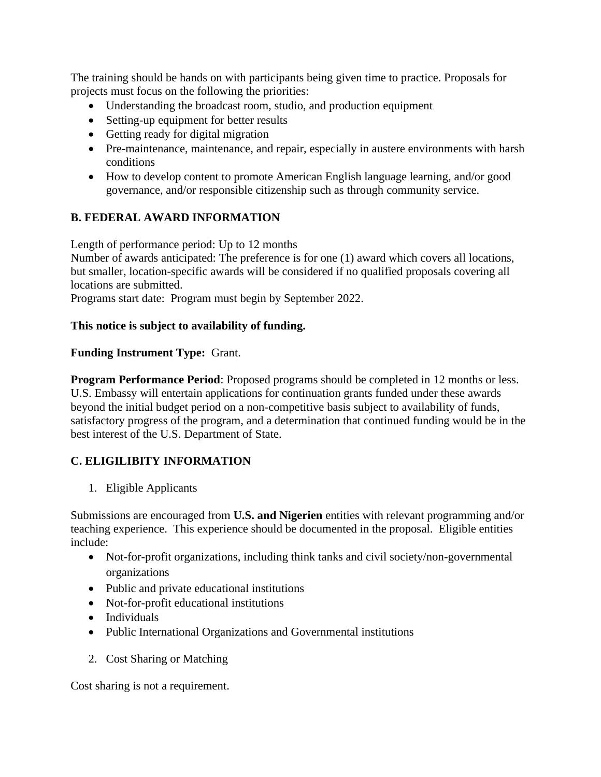The training should be hands on with participants being given time to practice. Proposals for projects must focus on the following the priorities:

- Understanding the broadcast room, studio, and production equipment
- Setting-up equipment for better results
- Getting ready for digital migration
- Pre-maintenance, maintenance, and repair, especially in austere environments with harsh conditions
- How to develop content to promote American English language learning, and/or good governance, and/or responsible citizenship such as through community service.

## **B. FEDERAL AWARD INFORMATION**

Length of performance period: Up to 12 months

Number of awards anticipated: The preference is for one (1) award which covers all locations, but smaller, location-specific awards will be considered if no qualified proposals covering all locations are submitted.

Programs start date: Program must begin by September 2022.

### **This notice is subject to availability of funding.**

### **Funding Instrument Type:** Grant.

**Program Performance Period**: Proposed programs should be completed in 12 months or less. U.S. Embassy will entertain applications for continuation grants funded under these awards beyond the initial budget period on a non-competitive basis subject to availability of funds, satisfactory progress of the program, and a determination that continued funding would be in the best interest of the U.S. Department of State.

## **C. ELIGILIBITY INFORMATION**

1. Eligible Applicants

Submissions are encouraged from **U.S. and Nigerien** entities with relevant programming and/or teaching experience. This experience should be documented in the proposal. Eligible entities include:

- Not-for-profit organizations, including think tanks and civil society/non-governmental organizations
- Public and private educational institutions
- Not-for-profit educational institutions
- Individuals
- Public International Organizations and Governmental institutions
- 2. Cost Sharing or Matching

Cost sharing is not a requirement.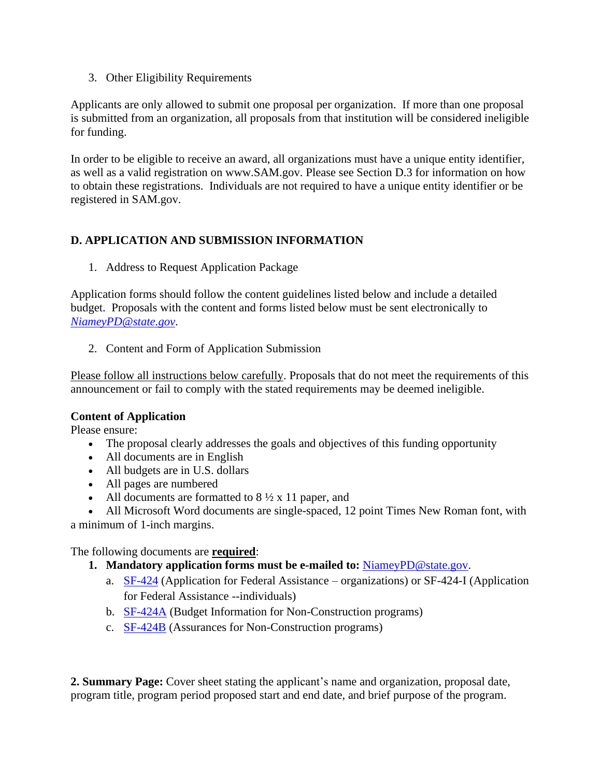3. Other Eligibility Requirements

Applicants are only allowed to submit one proposal per organization. If more than one proposal is submitted from an organization, all proposals from that institution will be considered ineligible for funding.

In order to be eligible to receive an award, all organizations must have a unique entity identifier, as well as a valid registration on www.SAM.gov. Please see Section D.3 for information on how to obtain these registrations. Individuals are not required to have a unique entity identifier or be registered in SAM.gov.

# **D. APPLICATION AND SUBMISSION INFORMATION**

1. Address to Request Application Package

Application forms should follow the content guidelines listed below and include a detailed budget. Proposals with the content and forms listed below must be sent electronically to *[NiameyPD@state.gov](mailto:NiameyPD@state.gov)*.

2. Content and Form of Application Submission

Please follow all instructions below carefully. Proposals that do not meet the requirements of this announcement or fail to comply with the stated requirements may be deemed ineligible.

#### **Content of Application**

Please ensure:

- The proposal clearly addresses the goals and objectives of this funding opportunity
- All documents are in English
- All budgets are in U.S. dollars
- All pages are numbered
- All documents are formatted to  $8\frac{1}{2} \times 11$  paper, and

• All Microsoft Word documents are single-spaced, 12 point Times New Roman font, with a minimum of 1-inch margins.

The following documents are **required**:

- **1. Mandatory application forms must be e-mailed to:** [NiameyPD@state.gov.](mailto:NiameyPD@state.gov)
	- a. [SF-424](javascript:downloadFile() (Application for Federal Assistance organizations) or SF-424-I (Application for Federal Assistance --individuals)
	- b. [SF-424A](javascript:downloadFile() (Budget Information for Non-Construction programs)
	- c. [SF-424B](javascript:downloadFile() (Assurances for Non-Construction programs)

**2. Summary Page:** Cover sheet stating the applicant's name and organization, proposal date, program title, program period proposed start and end date, and brief purpose of the program.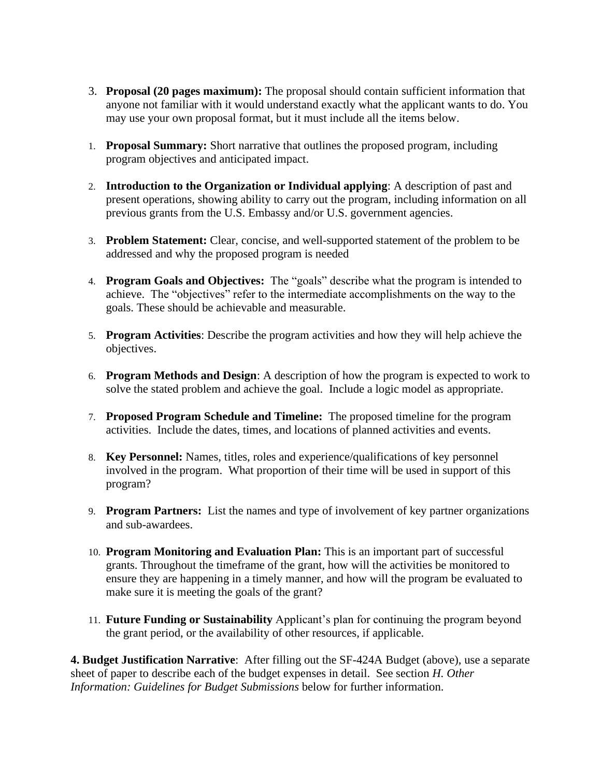- 3. **Proposal (20 pages maximum):** The proposal should contain sufficient information that anyone not familiar with it would understand exactly what the applicant wants to do. You may use your own proposal format, but it must include all the items below.
- 1. **Proposal Summary:** Short narrative that outlines the proposed program, including program objectives and anticipated impact.
- 2. **Introduction to the Organization or Individual applying**: A description of past and present operations, showing ability to carry out the program, including information on all previous grants from the U.S. Embassy and/or U.S. government agencies.
- 3. **Problem Statement:** Clear, concise, and well-supported statement of the problem to be addressed and why the proposed program is needed
- 4. **Program Goals and Objectives:** The "goals" describe what the program is intended to achieve. The "objectives" refer to the intermediate accomplishments on the way to the goals. These should be achievable and measurable.
- 5. **Program Activities**: Describe the program activities and how they will help achieve the objectives.
- 6. **Program Methods and Design**: A description of how the program is expected to work to solve the stated problem and achieve the goal. Include a logic model as appropriate.
- 7. **Proposed Program Schedule and Timeline:** The proposed timeline for the program activities. Include the dates, times, and locations of planned activities and events.
- 8. **Key Personnel:** Names, titles, roles and experience/qualifications of key personnel involved in the program. What proportion of their time will be used in support of this program?
- 9. **Program Partners:** List the names and type of involvement of key partner organizations and sub-awardees.
- 10. **Program Monitoring and Evaluation Plan:** This is an important part of successful grants. Throughout the timeframe of the grant, how will the activities be monitored to ensure they are happening in a timely manner, and how will the program be evaluated to make sure it is meeting the goals of the grant?
- 11. **Future Funding or Sustainability** Applicant's plan for continuing the program beyond the grant period, or the availability of other resources, if applicable.

**4. Budget Justification Narrative**: After filling out the SF-424A Budget (above), use a separate sheet of paper to describe each of the budget expenses in detail. See section *H. Other Information: Guidelines for Budget Submissions* below for further information.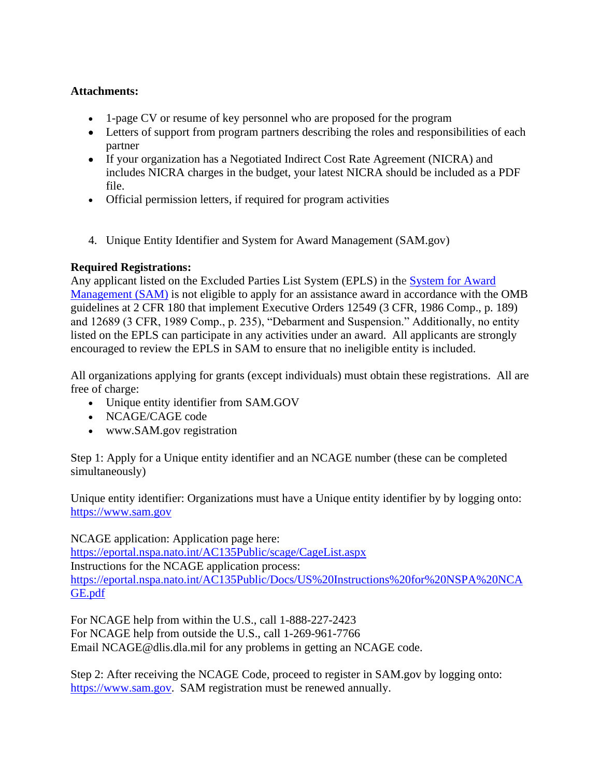## **Attachments:**

- 1-page CV or resume of key personnel who are proposed for the program
- Letters of support from program partners describing the roles and responsibilities of each partner
- If your organization has a Negotiated Indirect Cost Rate Agreement (NICRA) and includes NICRA charges in the budget, your latest NICRA should be included as a PDF file.
- Official permission letters, if required for program activities
- 4. Unique Entity Identifier and System for Award Management (SAM.gov)

## **Required Registrations:**

Any applicant listed on the Excluded Parties List System (EPLS) in the [System for Award](https://sam.gov/)  [Management \(SAM\)](https://sam.gov/) is not eligible to apply for an assistance award in accordance with the OMB guidelines at 2 CFR 180 that implement Executive Orders 12549 (3 CFR, 1986 Comp., p. 189) and 12689 (3 CFR, 1989 Comp., p. 235), "Debarment and Suspension." Additionally, no entity listed on the EPLS can participate in any activities under an award. All applicants are strongly encouraged to review the EPLS in SAM to ensure that no ineligible entity is included.

All organizations applying for grants (except individuals) must obtain these registrations. All are free of charge:

- Unique entity identifier from SAM.GOV
- NCAGE/CAGE code
- www.SAM.gov registration

Step 1: Apply for a Unique entity identifier and an NCAGE number (these can be completed simultaneously)

Unique entity identifier: Organizations must have a Unique entity identifier by by logging onto: [https://www.sam.gov](https://www.sam.gov/)

NCAGE application: Application page here: <https://eportal.nspa.nato.int/AC135Public/scage/CageList.aspx> Instructions for the NCAGE application process: [https://eportal.nspa.nato.int/AC135Public/Docs/US%20Instructions%20for%20NSPA%20NCA](https://eportal.nspa.nato.int/AC135Public/Docs/US%20Instructions%20for%20NSPA%20NCAGE.pdf) [GE.pdf](https://eportal.nspa.nato.int/AC135Public/Docs/US%20Instructions%20for%20NSPA%20NCAGE.pdf)

For NCAGE help from within the U.S., call 1-888-227-2423 For NCAGE help from outside the U.S., call 1-269-961-7766 Email NCAGE@dlis.dla.mil for any problems in getting an NCAGE code.

Step 2: After receiving the NCAGE Code, proceed to register in SAM.gov by logging onto: [https://www.sam.gov.](https://www.sam.gov/) SAM registration must be renewed annually.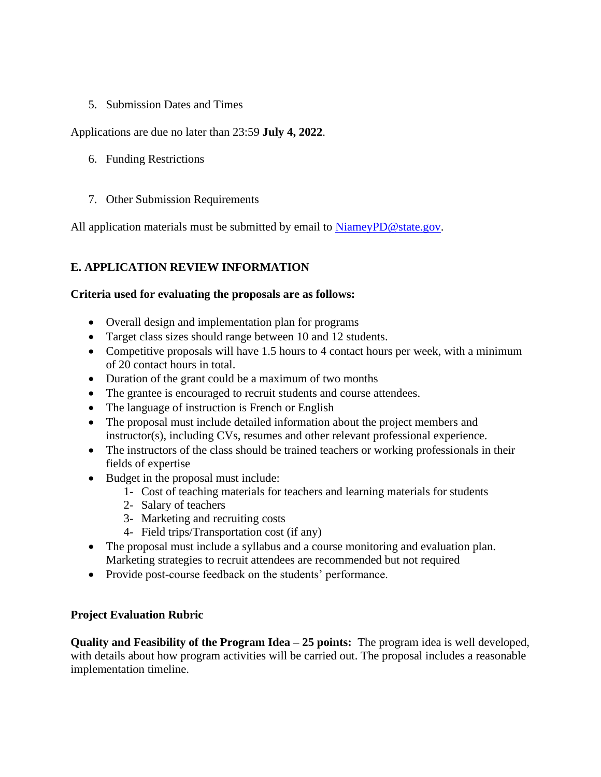## 5. Submission Dates and Times

Applications are due no later than 23:59 **July 4, 2022**.

- 6. Funding Restrictions
- 7. Other Submission Requirements

All application materials must be submitted by email to [NiameyPD@state.gov.](mailto:NiameyPD@state.gov)

## **E. APPLICATION REVIEW INFORMATION**

#### **Criteria used for evaluating the proposals are as follows:**

- Overall design and implementation plan for programs
- Target class sizes should range between 10 and 12 students.
- Competitive proposals will have 1.5 hours to 4 contact hours per week, with a minimum of 20 contact hours in total.
- Duration of the grant could be a maximum of two months
- The grantee is encouraged to recruit students and course attendees.
- The language of instruction is French or English
- The proposal must include detailed information about the project members and instructor(s), including CVs, resumes and other relevant professional experience.
- The instructors of the class should be trained teachers or working professionals in their fields of expertise
- Budget in the proposal must include:
	- 1- Cost of teaching materials for teachers and learning materials for students
	- 2- Salary of teachers
	- 3- Marketing and recruiting costs
	- 4- Field trips/Transportation cost (if any)
- The proposal must include a syllabus and a course monitoring and evaluation plan. Marketing strategies to recruit attendees are recommended but not required
- Provide post-course feedback on the students' performance.

#### **Project Evaluation Rubric**

**Quality and Feasibility of the Program Idea – 25 points:** The program idea is well developed, with details about how program activities will be carried out. The proposal includes a reasonable implementation timeline.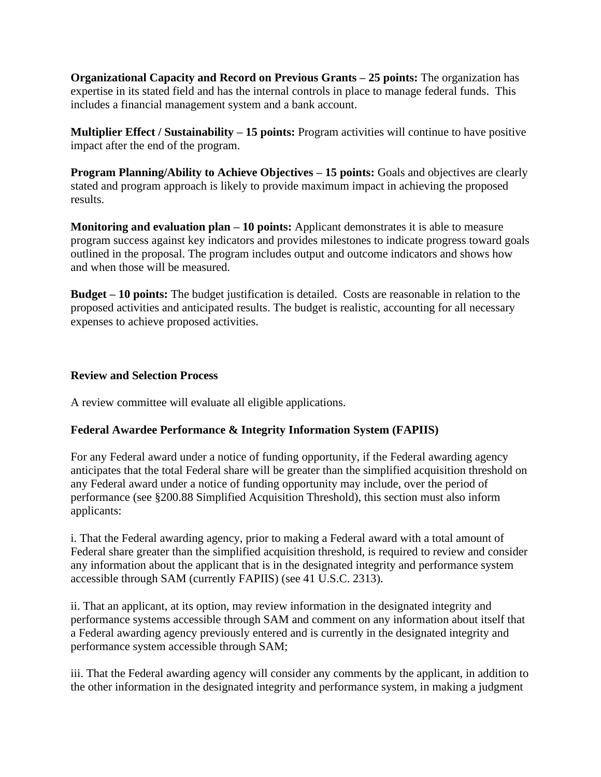**Organizational Capacity and Record on Previous Grants – 25 points:** The organization has expertise in its stated field and has the internal controls in place to manage federal funds. This includes a financial management system and a bank account.

**Multiplier Effect / Sustainability – 15 points:** Program activities will continue to have positive impact after the end of the program.

**Program Planning/Ability to Achieve Objectives – 15 points:** Goals and objectives are clearly stated and program approach is likely to provide maximum impact in achieving the proposed results.

**Monitoring and evaluation plan – 10 points:** Applicant demonstrates it is able to measure program success against key indicators and provides milestones to indicate progress toward goals outlined in the proposal. The program includes output and outcome indicators and shows how and when those will be measured.

**Budget – 10 points:** The budget justification is detailed. Costs are reasonable in relation to the proposed activities and anticipated results. The budget is realistic, accounting for all necessary expenses to achieve proposed activities.

### **Review and Selection Process**

A review committee will evaluate all eligible applications.

## **Federal Awardee Performance & Integrity Information System (FAPIIS)**

For any Federal award under a notice of funding opportunity, if the Federal awarding agency anticipates that the total Federal share will be greater than the simplified acquisition threshold on any Federal award under a notice of funding opportunity may include, over the period of performance (see §200.88 Simplified Acquisition Threshold), this section must also inform applicants:

i. That the Federal awarding agency, prior to making a Federal award with a total amount of Federal share greater than the simplified acquisition threshold, is required to review and consider any information about the applicant that is in the designated integrity and performance system accessible through SAM (currently FAPIIS) (see 41 U.S.C. 2313).

ii. That an applicant, at its option, may review information in the designated integrity and performance systems accessible through SAM and comment on any information about itself that a Federal awarding agency previously entered and is currently in the designated integrity and performance system accessible through SAM;

iii. That the Federal awarding agency will consider any comments by the applicant, in addition to the other information in the designated integrity and performance system, in making a judgment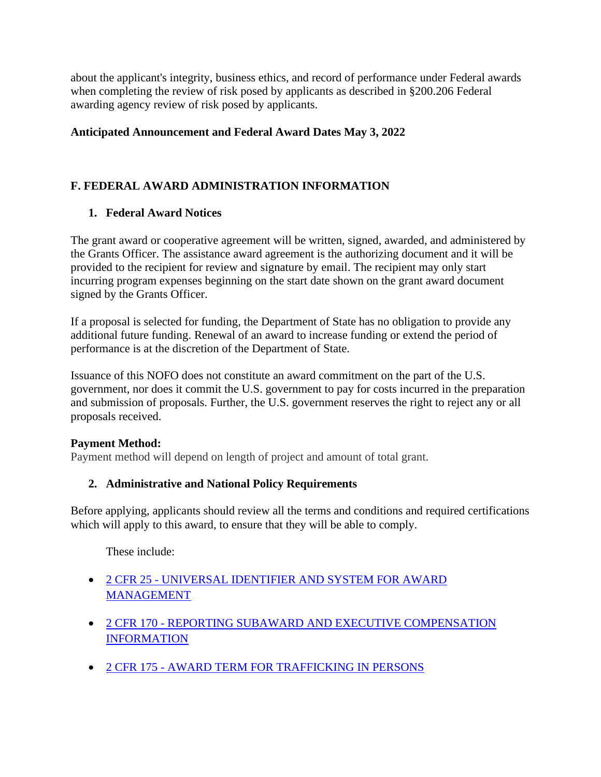about the applicant's integrity, business ethics, and record of performance under Federal awards when completing the review of risk posed by applicants as described in §200.206 Federal awarding agency review of risk posed by applicants.

## **Anticipated Announcement and Federal Award Dates May 3, 2022**

# **F. FEDERAL AWARD ADMINISTRATION INFORMATION**

## **1. Federal Award Notices**

The grant award or cooperative agreement will be written, signed, awarded, and administered by the Grants Officer. The assistance award agreement is the authorizing document and it will be provided to the recipient for review and signature by email. The recipient may only start incurring program expenses beginning on the start date shown on the grant award document signed by the Grants Officer.

If a proposal is selected for funding, the Department of State has no obligation to provide any additional future funding. Renewal of an award to increase funding or extend the period of performance is at the discretion of the Department of State.

Issuance of this NOFO does not constitute an award commitment on the part of the U.S. government, nor does it commit the U.S. government to pay for costs incurred in the preparation and submission of proposals. Further, the U.S. government reserves the right to reject any or all proposals received.

## **Payment Method:**

Payment method will depend on length of project and amount of total grant.

# **2. Administrative and National Policy Requirements**

Before applying, applicants should review all the terms and conditions and required certifications which will apply to this award, to ensure that they will be able to comply.

These include:

- 2 CFR 25 [UNIVERSAL IDENTIFIER AND SYSTEM FOR AWARD](https://www.ecfr.gov/cgi-bin/text-idx?SID=81a5f41de81c46a9844617d93a9db081&mc=true&node=pt2.1.25&rgn=div5)  [MANAGEMENT](https://www.ecfr.gov/cgi-bin/text-idx?SID=81a5f41de81c46a9844617d93a9db081&mc=true&node=pt2.1.25&rgn=div5)
- 2 CFR 170 [REPORTING SUBAWARD AND EXECUTIVE COMPENSATION](https://www.ecfr.gov/cgi-bin/text-idx?SID=81a5f41de81c46a9844617d93a9db081&mc=true&node=pt2.1.170&rgn=div5)  [INFORMATION](https://www.ecfr.gov/cgi-bin/text-idx?SID=81a5f41de81c46a9844617d93a9db081&mc=true&node=pt2.1.170&rgn=div5)
- 2 CFR 175 [AWARD TERM FOR TRAFFICKING IN PERSONS](https://www.ecfr.gov/cgi-bin/text-idx?SID=81a5f41de81c46a9844617d93a9db081&mc=true&node=pt2.1.175&rgn=div5)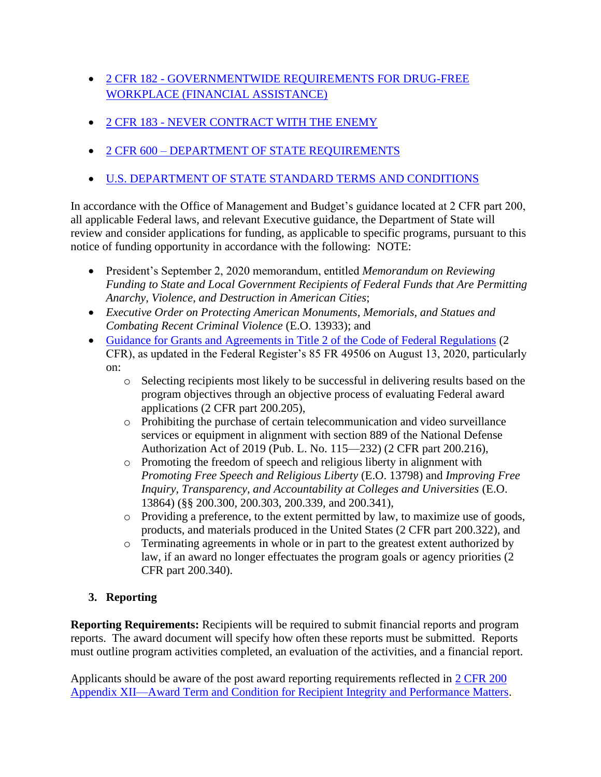- 2 CFR 182 [GOVERNMENTWIDE REQUIREMENTS FOR DRUG-FREE](https://www.ecfr.gov/cgi-bin/text-idx?SID=81a5f41de81c46a9844617d93a9db081&mc=true&node=pt2.1.182&rgn=div5)  [WORKPLACE \(FINANCIAL ASSISTANCE\)](https://www.ecfr.gov/cgi-bin/text-idx?SID=81a5f41de81c46a9844617d93a9db081&mc=true&node=pt2.1.182&rgn=div5)
- 2 CFR 183 [NEVER CONTRACT WITH THE ENEMY](https://www.ecfr.gov/cgi-bin/text-idx?SID=81a5f41de81c46a9844617d93a9db081&mc=true&node=pt2.1.183&rgn=div5)
- 2 CFR 600 [DEPARTMENT OF STATE REQUIREMENTS](https://www.ecfr.gov/cgi-bin/text-idx?SID=81a5f41de81c46a9844617d93a9db081&mc=true&tpl=/ecfrbrowse/Title02/2chapterVI.tpl)
- [U.S. DEPARTMENT OF STATE STANDARD TERMS AND CONDITIONS](https://www.state.gov/about-us-office-of-the-procurement-executive/)

In accordance with the Office of Management and Budget's guidance located at 2 CFR part 200, all applicable Federal laws, and relevant Executive guidance, the Department of State will review and consider applications for funding, as applicable to specific programs, pursuant to this notice of funding opportunity in accordance with the following: NOTE:

- President's September 2, 2020 memorandum, entitled *Memorandum on Reviewing Funding to State and Local Government Recipients of Federal Funds that Are Permitting Anarchy, Violence, and Destruction in American Cities*;
- *Executive Order on Protecting American Monuments, Memorials, and Statues and Combating Recent Criminal Violence* (E.O. 13933); and
- [Guidance for Grants and Agreements in Title 2 of the Code of Federal Regulations](https://www.ecfr.gov/cgi-bin/text-idx?SID=81a5f41de81c46a9844617d93a9db081&mc=true&node=pt2.1.200&rgn=div5) (2) CFR), as updated in the Federal Register's 85 FR 49506 on August 13, 2020, particularly on:
	- o Selecting recipients most likely to be successful in delivering results based on the program objectives through an objective process of evaluating Federal award applications (2 CFR part 200.205),
	- o Prohibiting the purchase of certain telecommunication and video surveillance services or equipment in alignment with section 889 of the National Defense Authorization Act of 2019 (Pub. L. No. 115—232) (2 CFR part 200.216),
	- o Promoting the freedom of speech and religious liberty in alignment with *Promoting Free Speech and Religious Liberty* (E.O. 13798) and *Improving Free Inquiry, Transparency, and Accountability at Colleges and Universities* (E.O. 13864) (§§ 200.300, 200.303, 200.339, and 200.341),
	- o Providing a preference, to the extent permitted by law, to maximize use of goods, products, and materials produced in the United States (2 CFR part 200.322), and
	- o Terminating agreements in whole or in part to the greatest extent authorized by law, if an award no longer effectuates the program goals or agency priorities (2 CFR part 200.340).

# **3. Reporting**

**Reporting Requirements:** Recipients will be required to submit financial reports and program reports. The award document will specify how often these reports must be submitted. Reports must outline program activities completed, an evaluation of the activities, and a financial report.

Applicants should be aware of the post award reporting requirements reflected in 2 CFR 200 [Appendix XII—Award Term and Condition for Recipient Integrity and Performance Matters.](https://www.ecfr.gov/cgi-bin/retrieveECFR?gp=&SID=027fb85899500d580fc71df69d11573a&mc=true&n=pt2.1.200&r=PART&ty=HTML%20-%20ap2.1.200_1521.i#ap2.1.200_1521.xii)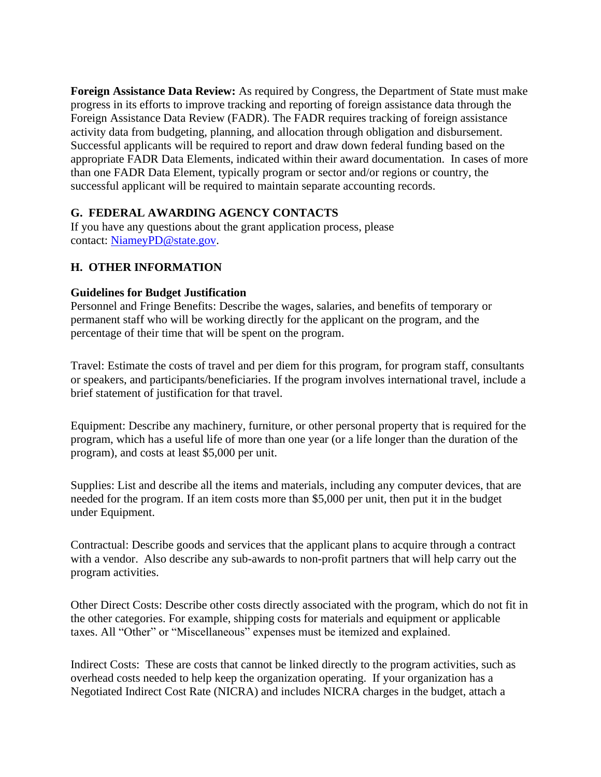**Foreign Assistance Data Review:** As required by Congress, the Department of State must make progress in its efforts to improve tracking and reporting of foreign assistance data through the Foreign Assistance Data Review (FADR). The FADR requires tracking of foreign assistance activity data from budgeting, planning, and allocation through obligation and disbursement. Successful applicants will be required to report and draw down federal funding based on the appropriate FADR Data Elements, indicated within their award documentation. In cases of more than one FADR Data Element, typically program or sector and/or regions or country, the successful applicant will be required to maintain separate accounting records.

## **G. FEDERAL AWARDING AGENCY CONTACTS**

If you have any questions about the grant application process, please contact: [NiameyPD@state.gov.](mailto:NiameyPD@state.gov)

# **H. OTHER INFORMATION**

### **Guidelines for Budget Justification**

Personnel and Fringe Benefits: Describe the wages, salaries, and benefits of temporary or permanent staff who will be working directly for the applicant on the program, and the percentage of their time that will be spent on the program.

Travel: Estimate the costs of travel and per diem for this program, for program staff, consultants or speakers, and participants/beneficiaries. If the program involves international travel, include a brief statement of justification for that travel.

Equipment: Describe any machinery, furniture, or other personal property that is required for the program, which has a useful life of more than one year (or a life longer than the duration of the program), and costs at least \$5,000 per unit.

Supplies: List and describe all the items and materials, including any computer devices, that are needed for the program. If an item costs more than \$5,000 per unit, then put it in the budget under Equipment.

Contractual: Describe goods and services that the applicant plans to acquire through a contract with a vendor. Also describe any sub-awards to non-profit partners that will help carry out the program activities.

Other Direct Costs: Describe other costs directly associated with the program, which do not fit in the other categories. For example, shipping costs for materials and equipment or applicable taxes. All "Other" or "Miscellaneous" expenses must be itemized and explained.

Indirect Costs: These are costs that cannot be linked directly to the program activities, such as overhead costs needed to help keep the organization operating. If your organization has a Negotiated Indirect Cost Rate (NICRA) and includes NICRA charges in the budget, attach a